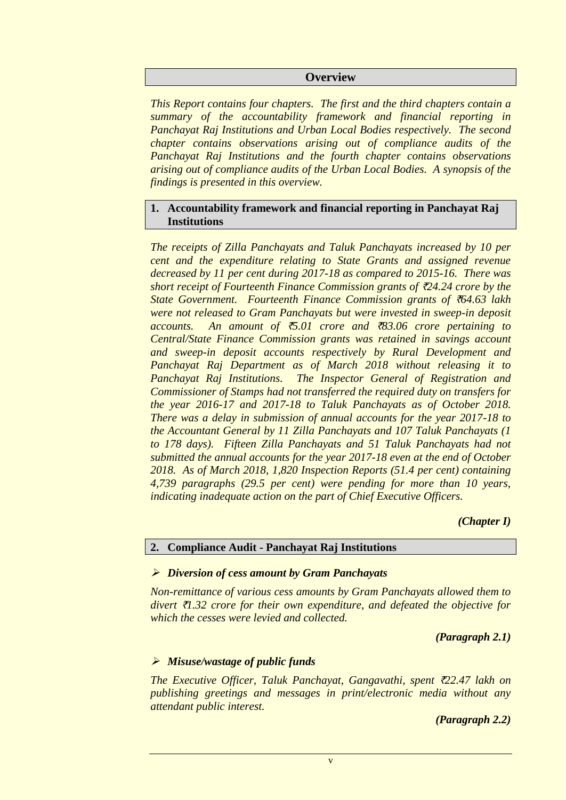#### **Overview**

*This Report contains four chapters. The first and the third chapters contain a summary of the accountability framework and financial reporting in Panchayat Raj Institutions and Urban Local Bodies respectively. The second chapter contains observations arising out of compliance audits of the Panchayat Raj Institutions and the fourth chapter contains observations arising out of compliance audits of the Urban Local Bodies. A synopsis of the findings is presented in this overview.*

### **1. Accountability framework and financial reporting in Panchayat Raj Institutions**

*The receipts of Zilla Panchayats and Taluk Panchayats increased by 10 per cent and the expenditure relating to State Grants and assigned revenue decreased by 11 per cent during 2017-18 as compared to 2015-16. There was short receipt of Fourteenth Finance Commission grants of* `*24.24 crore by the State Government. Fourteenth Finance Commission grants of* `*64.63 lakh were not released to Gram Panchayats but were invested in sweep-in deposit accounts. An amount of* `*5.01 crore and* `*83.06 crore pertaining to Central/State Finance Commission grants was retained in savings account and sweep-in deposit accounts respectively by Rural Development and Panchayat Raj Department as of March 2018 without releasing it to Panchayat Raj Institutions. The Inspector General of Registration and Commissioner of Stamps had not transferred the required duty on transfers for the year 2016-17 and 2017-18 to Taluk Panchayats as of October 2018. There was a delay in submission of annual accounts for the year 2017-18 to the Accountant General by 11 Zilla Panchayats and 107 Taluk Panchayats (1 to 178 days). Fifteen Zilla Panchayats and 51 Taluk Panchayats had not submitted the annual accounts for the year 2017-18 even at the end of October 2018. As of March 2018, 1,820 Inspection Reports (51.4 per cent) containing 4,739 paragraphs (29.5 per cent) were pending for more than 10 years, indicating inadequate action on the part of Chief Executive Officers.*

#### *(Chapter I)*

#### **2. Compliance Audit - Panchayat Raj Institutions**

#### *Diversion of cess amount by Gram Panchayats*

*Non-remittance of various cess amounts by Gram Panchayats allowed them to divert* `*1.32 crore for their own expenditure, and defeated the objective for which the cesses were levied and collected.*

*(Paragraph 2.1)*

### *Misuse/wastage of public funds*

*The Executive Officer, Taluk Panchayat, Gangavathi, spent* `*22.47 lakh on publishing greetings and messages in print/electronic media without any attendant public interest.*

*(Paragraph 2.2)*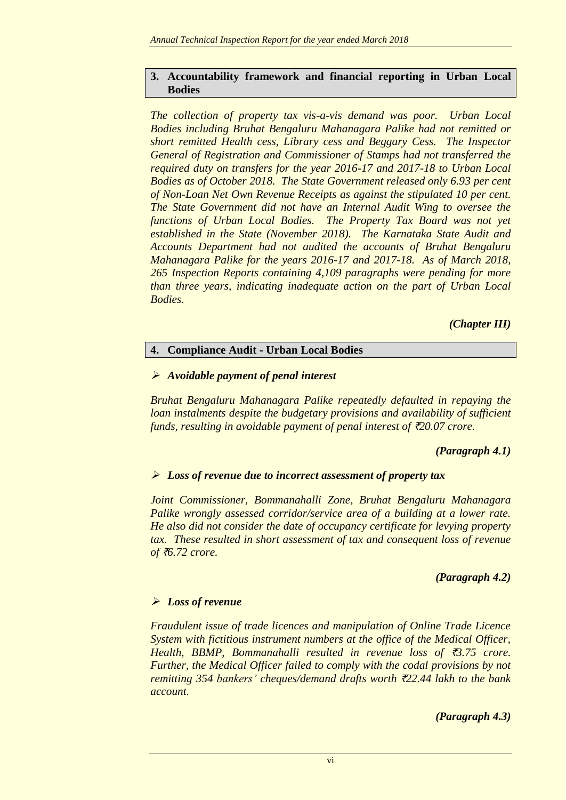### **3. Accountability framework and financial reporting in Urban Local Bodies**

*The collection of property tax vis-a-vis demand was poor. Urban Local Bodies including Bruhat Bengaluru Mahanagara Palike had not remitted or short remitted Health cess, Library cess and Beggary Cess. The Inspector General of Registration and Commissioner of Stamps had not transferred the required duty on transfers for the year 2016-17 and 2017-18 to Urban Local Bodies as of October 2018. The State Government released only 6.93 per cent of Non-Loan Net Own Revenue Receipts as against the stipulated 10 per cent. The State Government did not have an Internal Audit Wing to oversee the functions of Urban Local Bodies. The Property Tax Board was not yet established in the State (November 2018). The Karnataka State Audit and Accounts Department had not audited the accounts of Bruhat Bengaluru Mahanagara Palike for the years 2016-17 and 2017-18. As of March 2018, 265 Inspection Reports containing 4,109 paragraphs were pending for more than three years, indicating inadequate action on the part of Urban Local Bodies.*

*(Chapter III)*

# **4. Compliance Audit - Urban Local Bodies**

## *Avoidable payment of penal interest*

*Bruhat Bengaluru Mahanagara Palike repeatedly defaulted in repaying the loan instalments despite the budgetary provisions and availability of sufficient funds, resulting in avoidable payment of penal interest of* `*20.07 crore.*

# *(Paragraph 4.1)*

# *Loss of revenue due to incorrect assessment of property tax*

*Joint Commissioner, Bommanahalli Zone, Bruhat Bengaluru Mahanagara Palike wrongly assessed corridor/service area of a building at a lower rate. He also did not consider the date of occupancy certificate for levying property tax. These resulted in short assessment of tax and consequent loss of revenue of* `*6.72 crore.*

## *(Paragraph 4.2)*

## *Loss of revenue*

*Fraudulent issue of trade licences and manipulation of Online Trade Licence System with fictitious instrument numbers at the office of the Medical Officer, Health, BBMP, Bommanahalli resulted in revenue loss of* `*3.75 crore. Further, the Medical Officer failed to comply with the codal provisions by not remitting 354 bankers' cheques/demand drafts worth* `*22.44 lakh to the bank account.*

*(Paragraph 4.3)*